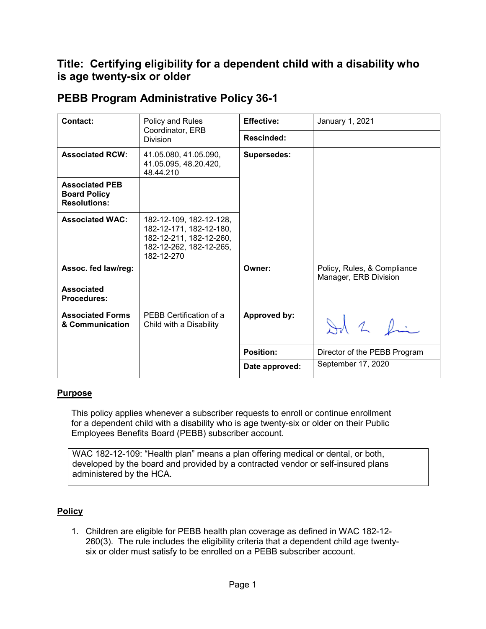# **Title: Certifying eligibility for a dependent child with a disability who is age twenty-six or older**

| <b>Contact:</b>                                                     | Policy and Rules<br>Coordinator, ERB<br><b>Division</b>                                                                | <b>Effective:</b>   | January 1, 2021                                      |
|---------------------------------------------------------------------|------------------------------------------------------------------------------------------------------------------------|---------------------|------------------------------------------------------|
|                                                                     |                                                                                                                        | <b>Rescinded:</b>   |                                                      |
| <b>Associated RCW:</b>                                              | 41.05.080, 41.05.090,<br>41.05.095, 48.20.420,<br>48.44.210                                                            | <b>Supersedes:</b>  |                                                      |
| <b>Associated PEB</b><br><b>Board Policy</b><br><b>Resolutions:</b> |                                                                                                                        |                     |                                                      |
| <b>Associated WAC:</b>                                              | 182-12-109, 182-12-128,<br>182-12-171, 182-12-180,<br>182-12-211, 182-12-260,<br>182-12-262, 182-12-265,<br>182-12-270 |                     |                                                      |
| Assoc. fed law/reg:                                                 |                                                                                                                        | Owner:              | Policy, Rules, & Compliance<br>Manager, ERB Division |
| <b>Associated</b><br><b>Procedures:</b>                             |                                                                                                                        |                     |                                                      |
| <b>Associated Forms</b><br>& Communication                          | PEBB Certification of a<br>Child with a Disability                                                                     | <b>Approved by:</b> | Ad 2 fin                                             |
|                                                                     |                                                                                                                        | <b>Position:</b>    | Director of the PEBB Program                         |
|                                                                     |                                                                                                                        | Date approved:      | September 17, 2020                                   |

## **PEBB Program Administrative Policy 36-1**

### **Purpose**

This policy applies whenever a subscriber requests to enroll or continue enrollment for a dependent child with a disability who is age twenty-six or older on their Public Employees Benefits Board (PEBB) subscriber account.

WAC 182-12-109: "Health plan" means a plan offering medical or dental, or both, developed by the board and provided by a contracted vendor or self-insured plans administered by the HCA.

### **Policy**

1. Children are eligible for PEBB health plan coverage as defined in WAC 182-12- 260(3). The rule includes the eligibility criteria that a dependent child age twentysix or older must satisfy to be enrolled on a PEBB subscriber account.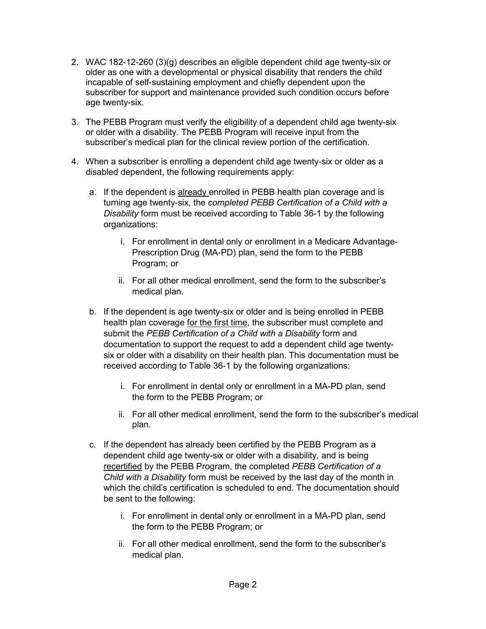- 2. WAC 182-12-260 (3)(g) describes an eligible dependent child age twenty-six or older as one with a developmental or physical disability that renders the child incapable of self-sustaining employment and chiefly dependent upon the subscriber for support and maintenance provided such condition occurs before age twenty-six.
- 3. The PEBB Program must verify the eligibility of a dependent child age twenty-six or older with a disability. The PEBB Program will receive input from the subscriber's medical plan for the clinical review portion of the certification.
- 4. When a subscriber is enrolling a dependent child age twenty-six or older as a disabled dependent, the following requirements apply:
	- a. If the dependent is already enrolled in PEBB health plan coverage and is turning age twenty-six, the *completed PEBB Certification of a Child with a Disability* form must be received according to Table 36-1 by the following organizations:
		- i. For enrollment in dental only or enrollment in a Medicare Advantage-Prescription Drug (MA-PD) plan, send the form to the PEBB Program; or
		- ii. For all other medical enrollment, send the form to the subscriber's medical plan.
	- b. If the dependent is age twenty-six or older and is being enrolled in PEBB health plan coverage for the first time, the subscriber must complete and submit the *PEBB Certification of a Child with a Disability* form and documentation to support the request to add a dependent child age twentysix or older with a disability on their health plan. This documentation must be received according to Table 36-1 by the following organizations:
		- i. For enrollment in dental only or enrollment in a MA-PD plan, send the form to the PEBB Program; or
		- ii. For all other medical enrollment, send the form to the subscriber's medical plan.
	- c. If the dependent has already been certified by the PEBB Program as a dependent child age twenty-six or older with a disability, and is being recertified by the PEBB Program, the completed *PEBB Certification of a Child with a Disability* form must be received by the last day of the month in which the child's certification is scheduled to end. The documentation should be sent to the following:
		- i. For enrollment in dental only or enrollment in a MA-PD plan, send the form to the PEBB Program; or
		- ii. For all other medical enrollment, send the form to the subscriber's medical plan.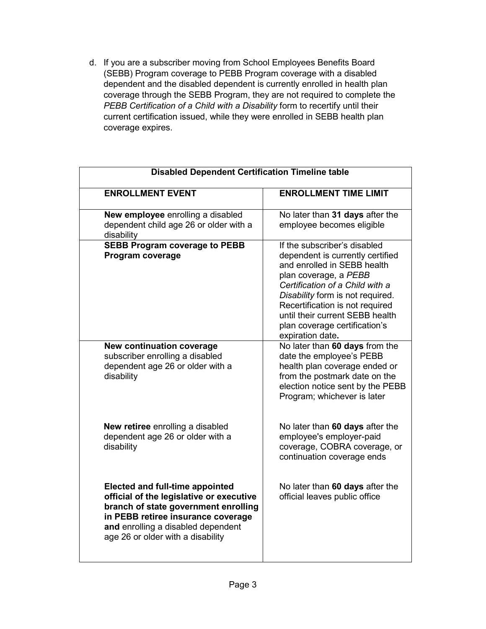d. If you are a subscriber moving from School Employees Benefits Board (SEBB) Program coverage to PEBB Program coverage with a disabled dependent and the disabled dependent is currently enrolled in health plan coverage through the SEBB Program, they are not required to complete the *PEBB Certification of a Child with a Disability* form to recertify until their current certification issued, while they were enrolled in SEBB health plan coverage expires.

| <b>ENROLLMENT EVENT</b>                  | <b>ENROLLMENT TIME LIMIT</b>                             |  |
|------------------------------------------|----------------------------------------------------------|--|
|                                          |                                                          |  |
| New employee enrolling a disabled        | No later than 31 days after the                          |  |
| dependent child age 26 or older with a   | employee becomes eligible                                |  |
| disability                               |                                                          |  |
| <b>SEBB Program coverage to PEBB</b>     | If the subscriber's disabled                             |  |
| Program coverage                         | dependent is currently certified                         |  |
|                                          | and enrolled in SEBB health                              |  |
|                                          | plan coverage, a PEBB<br>Certification of a Child with a |  |
|                                          | Disability form is not required.                         |  |
|                                          | Recertification is not required                          |  |
|                                          | until their current SEBB health                          |  |
|                                          | plan coverage certification's                            |  |
|                                          | expiration date.                                         |  |
| New continuation coverage                | No later than 60 days from the                           |  |
| subscriber enrolling a disabled          | date the employee's PEBB                                 |  |
| dependent age 26 or older with a         | health plan coverage ended or                            |  |
| disability                               | from the postmark date on the                            |  |
|                                          | election notice sent by the PEBB                         |  |
|                                          | Program; whichever is later                              |  |
| New retiree enrolling a disabled         | No later than 60 days after the                          |  |
| dependent age 26 or older with a         | employee's employer-paid                                 |  |
| disability                               | coverage, COBRA coverage, or                             |  |
|                                          | continuation coverage ends                               |  |
| <b>Elected and full-time appointed</b>   | No later than 60 days after the                          |  |
| official of the legislative or executive | official leaves public office                            |  |
| branch of state government enrolling     |                                                          |  |
| in PEBB retiree insurance coverage       |                                                          |  |
| and enrolling a disabled dependent       |                                                          |  |
| age 26 or older with a disability        |                                                          |  |
|                                          |                                                          |  |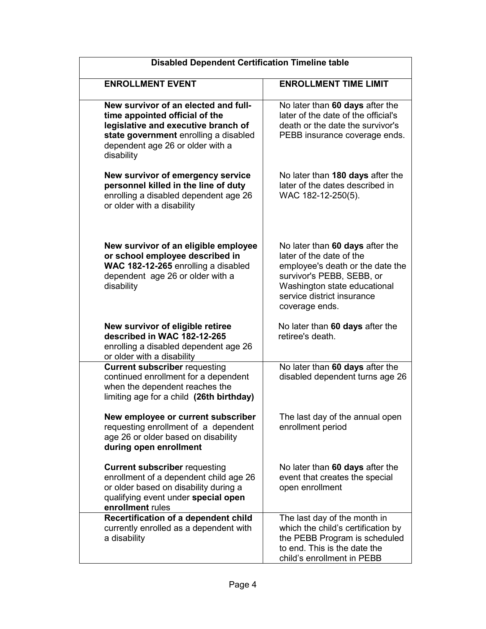| <b>Disabled Dependent Certification Timeline table</b>                                                                                                                                                   |                                                                                                                                                                                                              |  |  |
|----------------------------------------------------------------------------------------------------------------------------------------------------------------------------------------------------------|--------------------------------------------------------------------------------------------------------------------------------------------------------------------------------------------------------------|--|--|
| <b>ENROLLMENT EVENT</b>                                                                                                                                                                                  | <b>ENROLLMENT TIME LIMIT</b>                                                                                                                                                                                 |  |  |
| New survivor of an elected and full-<br>time appointed official of the<br>legislative and executive branch of<br>state government enrolling a disabled<br>dependent age 26 or older with a<br>disability | No later than 60 days after the<br>later of the date of the official's<br>death or the date the survivor's<br>PEBB insurance coverage ends.                                                                  |  |  |
| New survivor of emergency service<br>personnel killed in the line of duty<br>enrolling a disabled dependent age 26<br>or older with a disability                                                         | No later than 180 days after the<br>later of the dates described in<br>WAC 182-12-250(5).                                                                                                                    |  |  |
| New survivor of an eligible employee<br>or school employee described in<br>WAC 182-12-265 enrolling a disabled<br>dependent age 26 or older with a<br>disability                                         | No later than 60 days after the<br>later of the date of the<br>employee's death or the date the<br>survivor's PEBB, SEBB, or<br>Washington state educational<br>service district insurance<br>coverage ends. |  |  |
| New survivor of eligible retiree<br>described in WAC 182-12-265<br>enrolling a disabled dependent age 26<br>or older with a disability                                                                   | No later than 60 days after the<br>retiree's death.                                                                                                                                                          |  |  |
| <b>Current subscriber requesting</b><br>continued enrollment for a dependent<br>when the dependent reaches the<br>limiting age for a child (26th birthday)                                               | No later than 60 days after the<br>disabled dependent turns age 26                                                                                                                                           |  |  |
| New employee or current subscriber<br>requesting enrollment of a dependent<br>age 26 or older based on disability<br>during open enrollment                                                              | The last day of the annual open<br>enrollment period                                                                                                                                                         |  |  |
| <b>Current subscriber requesting</b><br>enrollment of a dependent child age 26<br>or older based on disability during a<br>qualifying event under special open<br>enrollment rules                       | No later than 60 days after the<br>event that creates the special<br>open enrollment                                                                                                                         |  |  |
| Recertification of a dependent child<br>currently enrolled as a dependent with<br>a disability                                                                                                           | The last day of the month in<br>which the child's certification by<br>the PEBB Program is scheduled<br>to end. This is the date the<br>child's enrollment in PEBB                                            |  |  |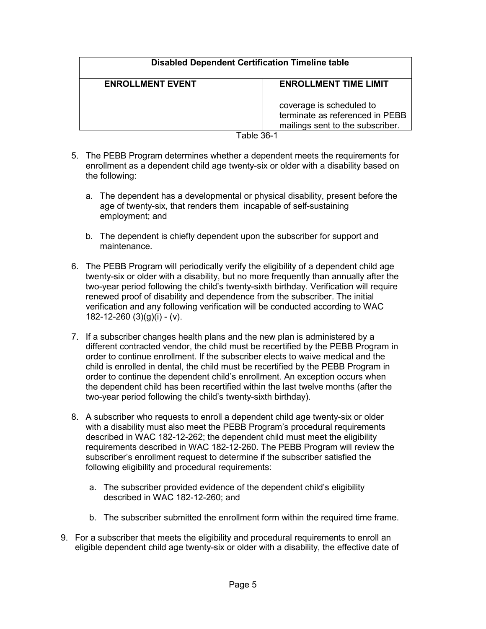## **Disabled Dependent Certification Timeline table**

| <b>ENROLLMENT EVENT</b> | <b>ENROLLMENT TIME LIMIT</b>                                                                    |
|-------------------------|-------------------------------------------------------------------------------------------------|
|                         | coverage is scheduled to<br>terminate as referenced in PEBB<br>mailings sent to the subscriber. |
|                         |                                                                                                 |

- Table 36-1
- 5. The PEBB Program determines whether a dependent meets the requirements for enrollment as a dependent child age twenty-six or older with a disability based on the following:
	- a. The dependent has a developmental or physical disability, present before the age of twenty-six, that renders them incapable of self-sustaining employment; and
	- b. The dependent is chiefly dependent upon the subscriber for support and maintenance.
- 6. The PEBB Program will periodically verify the eligibility of a dependent child age twenty-six or older with a disability, but no more frequently than annually after the two-year period following the child's twenty-sixth birthday. Verification will require renewed proof of disability and dependence from the subscriber. The initial verification and any following verification will be conducted according to WAC 182-12-260  $(3)(g)(i)$  -  $(v)$ .
- 7. If a subscriber changes health plans and the new plan is administered by a different contracted vendor, the child must be recertified by the PEBB Program in order to continue enrollment. If the subscriber elects to waive medical and the child is enrolled in dental, the child must be recertified by the PEBB Program in order to continue the dependent child's enrollment. An exception occurs when the dependent child has been recertified within the last twelve months (after the two-year period following the child's twenty-sixth birthday).
- 8. A subscriber who requests to enroll a dependent child age twenty-six or older with a disability must also meet the PEBB Program's procedural requirements described in WAC 182-12-262; the dependent child must meet the eligibility requirements described in WAC 182-12-260. The PEBB Program will review the subscriber's enrollment request to determine if the subscriber satisfied the following eligibility and procedural requirements:
	- a. The subscriber provided evidence of the dependent child's eligibility described in WAC 182-12-260; and
	- b. The subscriber submitted the enrollment form within the required time frame.
- 9. For a subscriber that meets the eligibility and procedural requirements to enroll an eligible dependent child age twenty-six or older with a disability, the effective date of